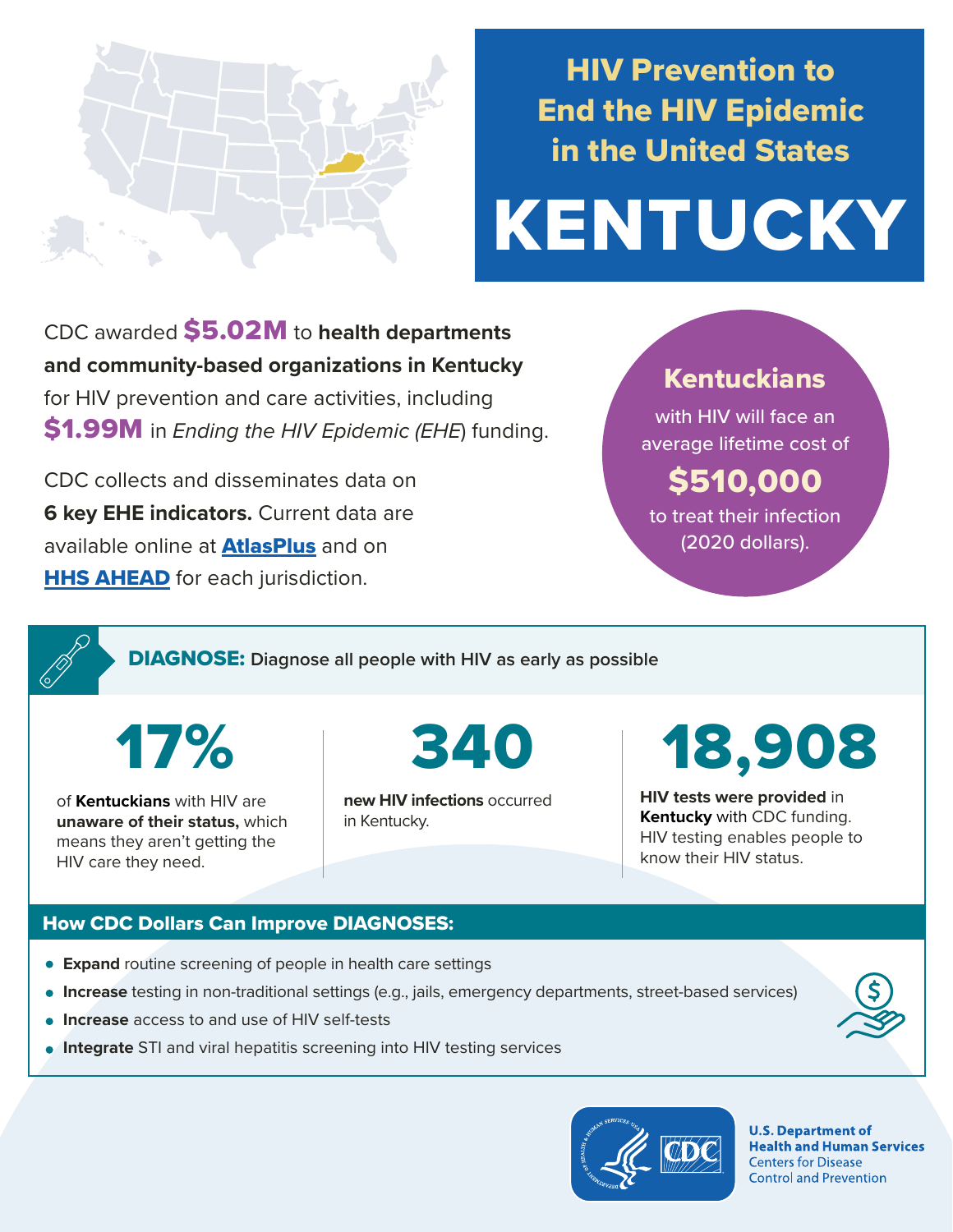

## HIV Prevention to End the HIV Epidemic in the United States

# KENTUCKY

CDC awarded \$5.02M to **health departments and community-based organizations in Kentucky**  for HIV prevention and care activities, including \$1.99M in *Ending the HIV Epidemic (EHE*) funding.

CDC collects and disseminates data on **6 key EHE indicators.** Current data are available online at **[AtlasPlus](https://www.cdc.gov/nchhstp/atlas/index.htm)** and on **[HHS AHEAD](https://ahead.hiv.gov/)** for each jurisdiction.

### Kentuckians

with HIV will face an average lifetime cost of

## \$510,000

to treat their infection (2020 dollars).

DIAGNOSE: **Diagnose all people with HIV as early as possible** 

17%

of **Kentuckians** with HIV are **unaware of their status,** which means they aren't getting the HIV care they need.

**new HIV infections** occurred in Kentucky.

## 340 18,908

**HIV tests were provided** in **Kentucky** with CDC funding. HIV testing enables people to know their HIV status.

#### How CDC Dollars Can Improve DIAGNOSES:

- **Expand** routine screening of people in health care settings
- **Increase** testing in non-traditional settings (e.g., jails, emergency departments, street-based services)
- **Increase** access to and use of HIV self-tests
- **Integrate** STI and viral hepatitis screening into HIV testing services



**U.S. Department of Health and Human Services Centers for Disease Control and Prevention**